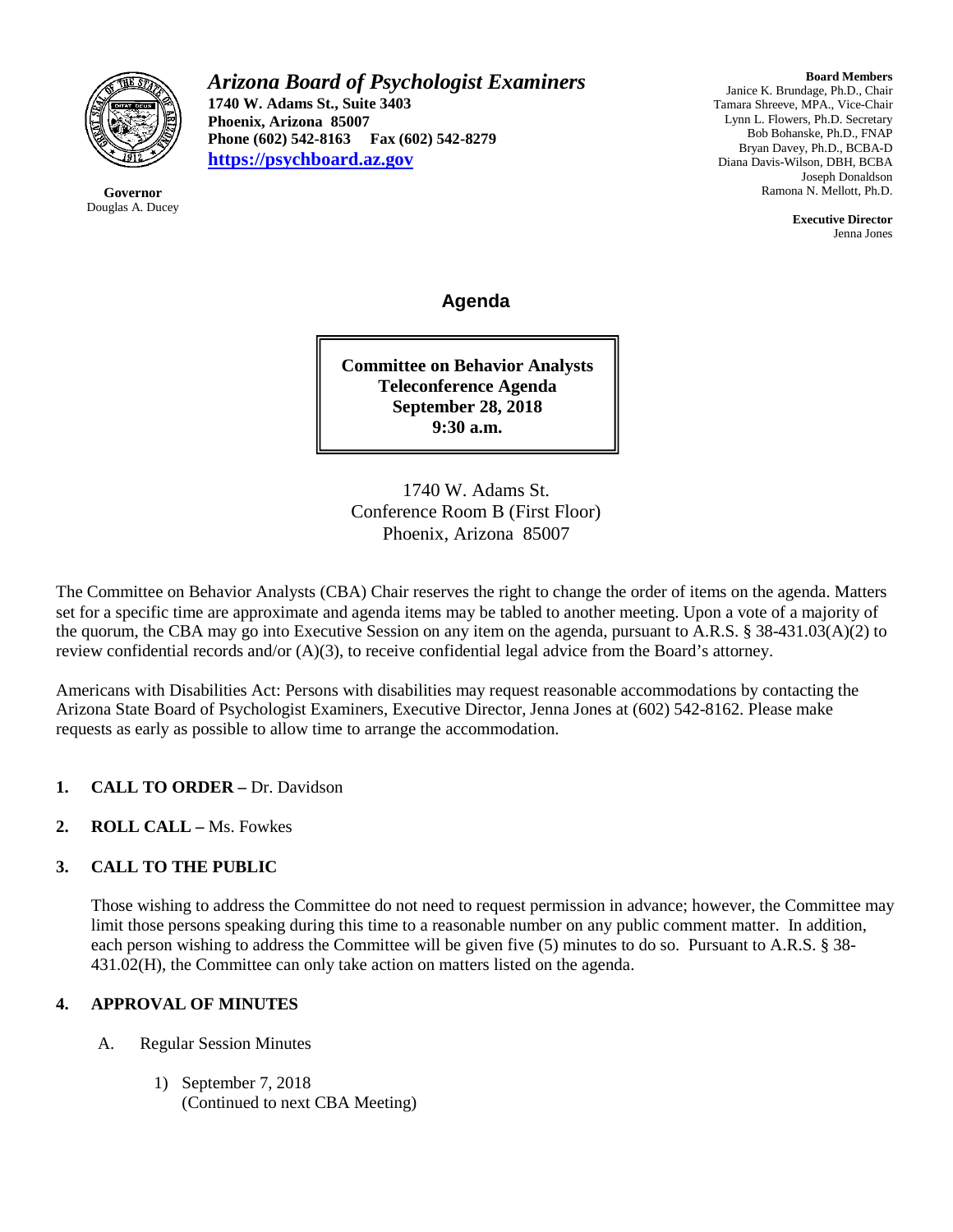

**Governor** Douglas A. Ducey *Arizona Board of Psychologist Examiners* **1740 W. Adams St., Suite 3403 Phoenix, Arizona 85007 Phone (602) 542-8163 Fax (602) 542-8279 [https://psychboard.az.gov](https://psychboard.az.gov/)**

**Board Members** Janice K. Brundage, Ph.D., Chair Tamara Shreeve, MPA., Vice-Chair Lynn L. Flowers, Ph.D. Secretary Bob Bohanske, Ph.D., FNAP Bryan Davey, Ph.D., BCBA-D Diana Davis-Wilson, DBH, BCBA Joseph Donaldson Ramona N. Mellott, Ph.D.

> **Executive Director** Jenna Jones

**Agenda**

**Committee on Behavior Analysts Teleconference Agenda September 28, 2018 9:30 a.m.**

1740 W. Adams St. Conference Room B (First Floor) Phoenix, Arizona 85007

The Committee on Behavior Analysts (CBA) Chair reserves the right to change the order of items on the agenda. Matters set for a specific time are approximate and agenda items may be tabled to another meeting. Upon a vote of a majority of the quorum, the CBA may go into Executive Session on any item on the agenda, pursuant to A.R.S. § 38-431.03(A)(2) to review confidential records and/or (A)(3), to receive confidential legal advice from the Board's attorney.

Americans with Disabilities Act: Persons with disabilities may request reasonable accommodations by contacting the Arizona State Board of Psychologist Examiners, Executive Director, Jenna Jones at (602) 542-8162. Please make requests as early as possible to allow time to arrange the accommodation.

- **1. CALL TO ORDER –** Dr. Davidson
- **2. ROLL CALL –** Ms. Fowkes

## **3. CALL TO THE PUBLIC**

Those wishing to address the Committee do not need to request permission in advance; however, the Committee may limit those persons speaking during this time to a reasonable number on any public comment matter. In addition, each person wishing to address the Committee will be given five (5) minutes to do so. Pursuant to A.R.S. § 38- 431.02(H), the Committee can only take action on matters listed on the agenda.

## **4. APPROVAL OF MINUTES**

- A. Regular Session Minutes
	- 1) September 7, 2018 (Continued to next CBA Meeting)